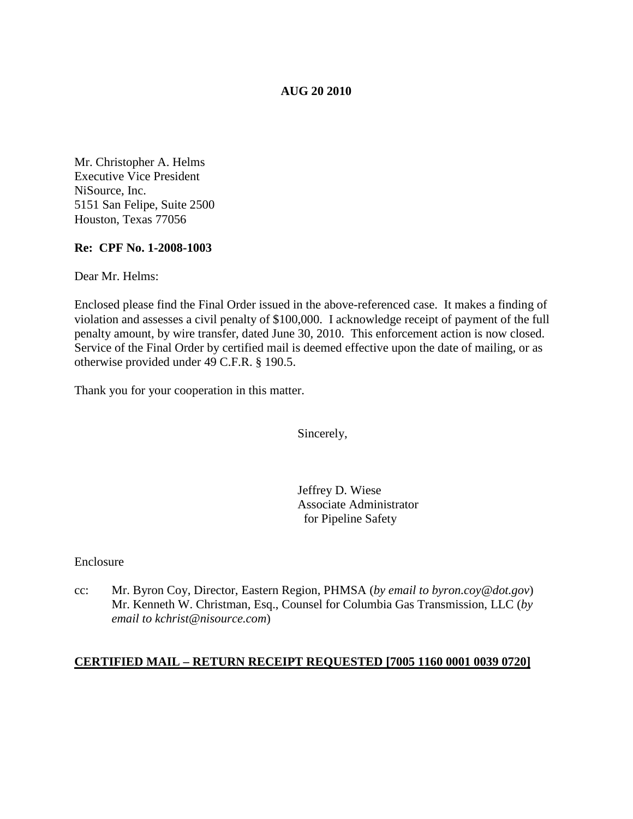### **AUG 20 2010**

Mr. Christopher A. Helms Executive Vice President NiSource, Inc. 5151 San Felipe, Suite 2500 Houston, Texas 77056

#### **Re: CPF No. 1-2008-1003**

Dear Mr. Helms:

Enclosed please find the Final Order issued in the above-referenced case. It makes a finding of violation and assesses a civil penalty of \$100,000. I acknowledge receipt of payment of the full penalty amount, by wire transfer, dated June 30, 2010. This enforcement action is now closed. Service of the Final Order by certified mail is deemed effective upon the date of mailing, or as otherwise provided under 49 C.F.R. § 190.5.

Thank you for your cooperation in this matter.

Sincerely,

Jeffrey D. Wiese Associate Administrator for Pipeline Safety

Enclosure

cc: Mr. Byron Coy, Director, Eastern Region, PHMSA (*by email to byron.coy@dot.gov*) Mr. Kenneth W. Christman, Esq., Counsel for Columbia Gas Transmission, LLC (*by email to kchrist@nisource.com*)

# **CERTIFIED MAIL – RETURN RECEIPT REQUESTED [7005 1160 0001 0039 0720]**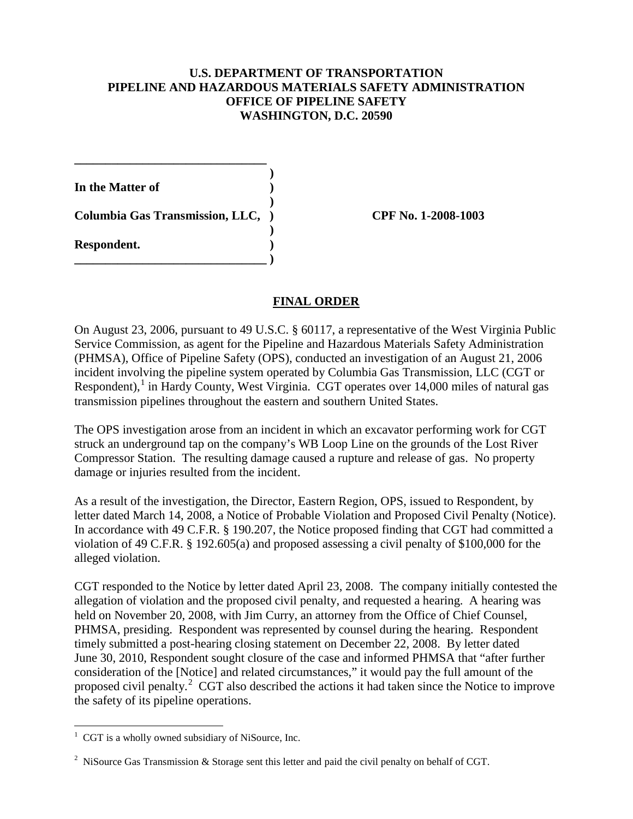#### **U.S. DEPARTMENT OF TRANSPORTATION PIPELINE AND HAZARDOUS MATERIALS SAFETY ADMINISTRATION OFFICE OF PIPELINE SAFETY WASHINGTON, D.C. 20590**

 **)**

 **)**

 **)**

**In the Matter of )**

**Columbia Gas Transmission, LLC, ) CPF No. 1-2008-1003**

**\_\_\_\_\_\_\_\_\_\_\_\_\_\_\_\_\_\_\_\_\_\_\_\_\_\_\_\_\_\_\_ )**

**\_\_\_\_\_\_\_\_\_\_\_\_\_\_\_\_\_\_\_\_\_\_\_\_\_\_\_\_\_\_\_**

**Respondent. )**

# **FINAL ORDER**

On August 23, 2006, pursuant to 49 U.S.C. § 60117, a representative of the West Virginia Public Service Commission, as agent for the Pipeline and Hazardous Materials Safety Administration (PHMSA), Office of Pipeline Safety (OPS), conducted an investigation of an August 21, 2006 incident involving the pipeline system operated by Columbia Gas Transmission, LLC (CGT or Respondent),<sup>[1](#page-1-0)</sup> in Hardy County, West Virginia. CGT operates over 14,000 miles of natural gas transmission pipelines throughout the eastern and southern United States.

The OPS investigation arose from an incident in which an excavator performing work for CGT struck an underground tap on the company's WB Loop Line on the grounds of the Lost River Compressor Station. The resulting damage caused a rupture and release of gas. No property damage or injuries resulted from the incident.

As a result of the investigation, the Director, Eastern Region, OPS, issued to Respondent, by letter dated March 14, 2008, a Notice of Probable Violation and Proposed Civil Penalty (Notice). In accordance with 49 C.F.R. § 190.207, the Notice proposed finding that CGT had committed a violation of 49 C.F.R. § 192.605(a) and proposed assessing a civil penalty of \$100,000 for the alleged violation.

CGT responded to the Notice by letter dated April 23, 2008. The company initially contested the allegation of violation and the proposed civil penalty, and requested a hearing. A hearing was held on November 20, 2008, with Jim Curry, an attorney from the Office of Chief Counsel, PHMSA, presiding. Respondent was represented by counsel during the hearing. Respondent timely submitted a post-hearing closing statement on December 22, 2008. By letter dated June 30, 2010, Respondent sought closure of the case and informed PHMSA that "after further consideration of the [Notice] and related circumstances," it would pay the full amount of the proposed civil penalty.<sup>[2](#page-1-1)</sup> CGT also described the actions it had taken since the Notice to improve the safety of its pipeline operations.

<span id="page-1-0"></span> $\frac{1}{1}$  $1 \text{ CGT}$  is a wholly owned subsidiary of NiSource, Inc.

<span id="page-1-1"></span><sup>&</sup>lt;sup>2</sup> NiSource Gas Transmission & Storage sent this letter and paid the civil penalty on behalf of CGT.